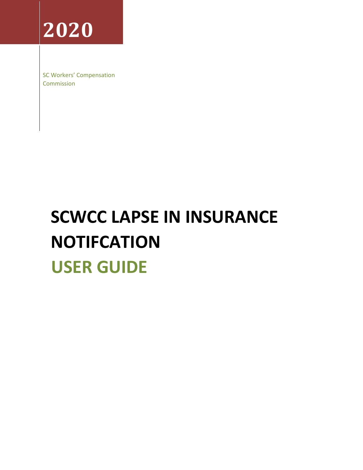**2020**

SC Workers' Compensation Commission

# **SCWCC LAPSE IN INSURANCE NOTIFCATION USER GUIDE**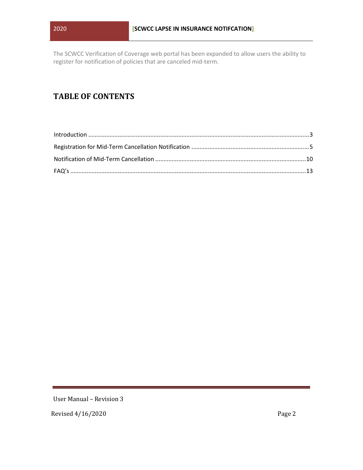The SCWCC Verification of Coverage web portal has been expanded to allow users the ability to register for notification of policies that are canceled mid-term.

## **TABLE OF CONTENTS**

User Manual – Revision 3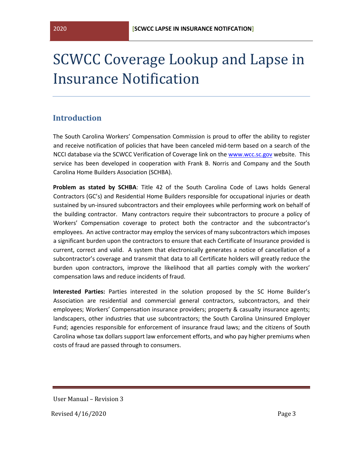## SCWCC Coverage Lookup and Lapse in Insurance Notification

### <span id="page-2-0"></span>**Introduction**

The South Carolina Workers' Compensation Commission is proud to offer the ability to register and receive notification of policies that have been canceled mid-term based on a search of the NCCI database via the SCWCC Verification of Coverage link on the [www.wcc.sc.gov](http://www.wcc.sc.gov/) website. This service has been developed in cooperation with Frank B. Norris and Company and the South Carolina Home Builders Association (SCHBA).

**Problem as stated by SCHBA**: Title 42 of the South Carolina Code of Laws holds General Contractors (GC's) and Residential Home Builders responsible for occupational injuries or death sustained by un-insured subcontractors and their employees while performing work on behalf of the building contractor. Many contractors require their subcontractors to procure a policy of Workers' Compensation coverage to protect both the contractor and the subcontractor's employees. An active contractor may employ the services of many subcontractors which imposes a significant burden upon the contractors to ensure that each Certificate of Insurance provided is current, correct and valid. A system that electronically generates a notice of cancellation of a subcontractor's coverage and transmit that data to all Certificate holders will greatly reduce the burden upon contractors, improve the likelihood that all parties comply with the workers' compensation laws and reduce incidents of fraud.

**Interested Parties:** Parties interested in the solution proposed by the SC Home Builder's Association are residential and commercial general contractors, subcontractors, and their employees; Workers' Compensation insurance providers; property & casualty insurance agents; landscapers, other industries that use subcontractors; the South Carolina Uninsured Employer Fund; agencies responsible for enforcement of insurance fraud laws; and the citizens of South Carolina whose tax dollars support law enforcement efforts, and who pay higher premiums when costs of fraud are passed through to consumers.

User Manual – Revision 3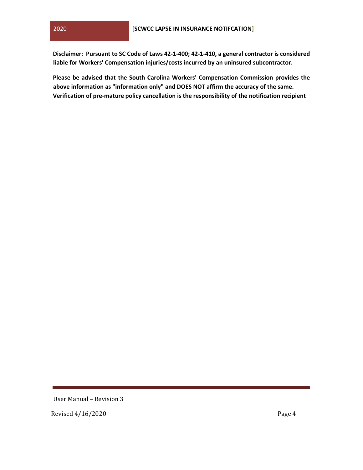**Disclaimer: Pursuant to SC Code of Laws 42-1-400; 42-1-410, a general contractor is considered liable for Workers' Compensation injuries/costs incurred by an uninsured subcontractor.** 

**Please be advised that the South Carolina Workers' Compensation Commission provides the above information as "information only" and DOES NOT affirm the accuracy of the same. Verification of pre-mature policy cancellation is the responsibility of the notification recipient** 

User Manual – Revision 3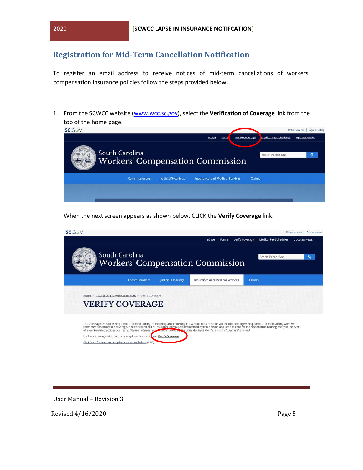## <span id="page-4-0"></span>**Registration for Mid-Term Cancellation Notification**

To register an email address to receive notices of mid-term cancellations of workers' compensation insurance policies follow the steps provided below.

1. From the SCWCC website [\(www.wcc.sc.gov\),](http://www.wcc.sc.gov/) select the **Verification of Coverage** link from the top of the home page.



When the next screen appears as shown below, CLICK the **Verify Coverage** link.



User Manual – Revision 3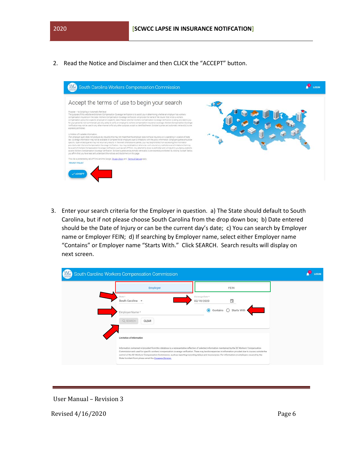2. Read the Notice and Disclaimer and then CLICK the "ACCEPT" button.



3. Enter your search criteria for the Employer in question. a) The State should default to South Carolina, but if not please choose South Carolina from the drop down box; b) Date entered should be the Date of Injury or can be the current day's date; c) You can search by Employer name or Employer FEIN; d) If searching by Employer name, select either Employer name "Contains" or Employer name "Starts With." Click SEARCH. Search results will display on next screen.

| South Carolina Workers Compensation Commission                                                                                                                                                                                                                                                                                                                            |                                                                                                                                                            | LOGIN |
|---------------------------------------------------------------------------------------------------------------------------------------------------------------------------------------------------------------------------------------------------------------------------------------------------------------------------------------------------------------------------|------------------------------------------------------------------------------------------------------------------------------------------------------------|-------|
| <b>Employer</b>                                                                                                                                                                                                                                                                                                                                                           | FEIN                                                                                                                                                       |       |
| State *<br>South Carolina -                                                                                                                                                                                                                                                                                                                                               | Coverage Date *<br>ä<br>02/18/2020                                                                                                                         |       |
| Employer Name*                                                                                                                                                                                                                                                                                                                                                            | $\odot$ Contains $\odot$<br>Starts With                                                                                                                    |       |
| Q SEARCH<br><b>CLEAR</b>                                                                                                                                                                                                                                                                                                                                                  |                                                                                                                                                            |       |
| Limitation of Information                                                                                                                                                                                                                                                                                                                                                 |                                                                                                                                                            |       |
| Information contained in/provided from this database is a representative reflection of selected information maintained by the SC Workers' Compensation<br>control of the SC Workers' Compensation Commission, such as reporting/recording delays and inaccuracies. For information on employers covered by the<br>State Accident Fund please email the Coverage Division. | Commission and used for specific workers' compensation coverage verification. There may be discrepancies in information provided due to causes outside the |       |

User Manual – Revision 3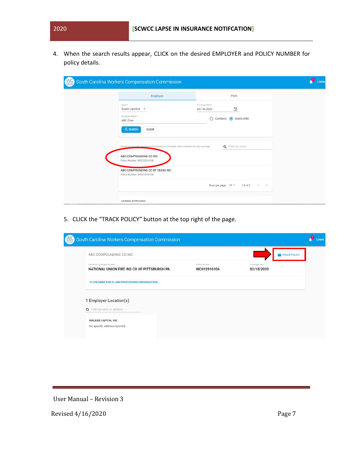4. When the search results appear, CLICK on the desired EMPLOYER and POLICY NUMBER for policy details.

| WC | South Carolina Workers Compensation Commission                                                     |                                                               | LOGIN |
|----|----------------------------------------------------------------------------------------------------|---------------------------------------------------------------|-------|
|    | <b>Employer</b>                                                                                    | FEIN                                                          |       |
|    | State *<br>South Carolina -                                                                        | Coverage Date*<br>$\Box$<br>02/18/2020                        |       |
|    | Employer Name*<br>ABC Com                                                                          | Starts With<br>O<br>Contains                                  |       |
|    | Q SEARCH<br>CLEAR                                                                                  |                                                               |       |
|    | Results do not imply coverage for the employer in this state. Make a selection to verify coverage. | Q Filter by name                                              |       |
|    | ABC COMPOUNDING CO INC<br>Policy Number: WC012016106                                               |                                                               |       |
|    | ABC COMPOUNDING CO OF TEXAS INC<br>Policy Number: WC012016106                                      |                                                               |       |
|    |                                                                                                    | Rows per page: 10 -<br>$1-2$ of $2$<br>$\,<$<br>$\rightarrow$ |       |
|    | Limitation of Information                                                                          |                                                               |       |

5. CLICK the "TRACK POLICY" button at the top right of the page.

| South Carolina Workers Compensation Commission                             |                              |                             | LOGIN |
|----------------------------------------------------------------------------|------------------------------|-----------------------------|-------|
| ABC COMPOUNDING CO INC                                                     |                              | TRACK POLICY                |       |
| Insurance Coverage Provider<br>NATIONAL UNION FIRE INS CO OF PITTSBURGH PA | Policy Number<br>WC012016106 | Coverage Date<br>02/18/2020 |       |
| <b>CLICK HERE FOR CLAIM PROCESSING INFORMATION</b>                         |                              |                             |       |
| 1 Employer Location(s)<br>Q Filter by name or address                      |                              |                             |       |
| <b>WALKER CAPITAL INC</b><br>No specific address reported                  |                              |                             |       |

User Manual – Revision 3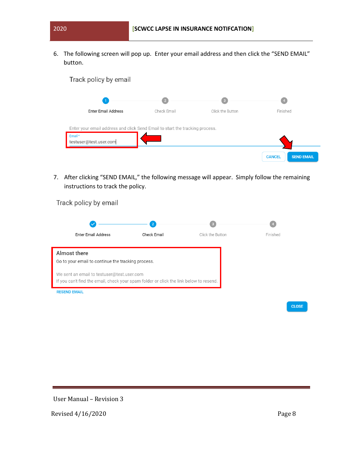6. The following screen will pop up. Enter your email address and then click the "SEND EMAIL" button.

| Track policy by email                                                                                            |                |                         |                                    |
|------------------------------------------------------------------------------------------------------------------|----------------|-------------------------|------------------------------------|
|                                                                                                                  | $\overline{2}$ | $\overline{\mathbf{3}}$ | $\overline{4}$                     |
| <b>Enter Email Address</b>                                                                                       | Check Email    | Click the Button        | Finished                           |
| Enter your email address and click Send Email to start the tracking process.<br>Email*<br>testuser@test.user.com |                |                         | <b>SEND EMAIL</b><br><b>CANCEL</b> |

7. After clicking "SEND EMAIL," the following message will appear. Simply follow the remaining instructions to track the policy.

Track policy by email

|                                                                                        |             | -3               |              |
|----------------------------------------------------------------------------------------|-------------|------------------|--------------|
| <b>Enter Email Address</b>                                                             | Check Email | Click the Button | Finished     |
| Almost there                                                                           |             |                  |              |
| Go to your email to continue the tracking process.                                     |             |                  |              |
|                                                                                        |             |                  |              |
| We sent an email to testuser@test.user.com                                             |             |                  |              |
| If you can't find the email, check your spam folder or click the link below to resend. |             |                  |              |
| <b>RESEND EMAIL</b>                                                                    |             |                  |              |
|                                                                                        |             |                  |              |
|                                                                                        |             |                  | <b>CLOSE</b> |

User Manual – Revision 3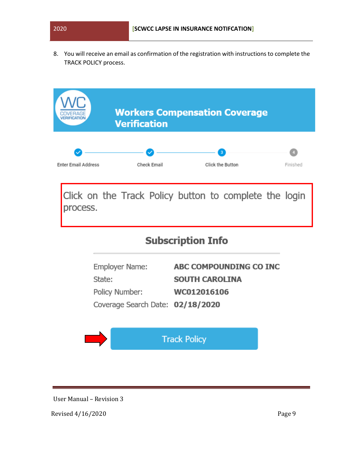8. You will receive an email as confirmation of the registration with instructions to complete the TRACK POLICY process.

|                            | <b>Verification</b>                                                            | <b>Workers Compensation Coverage</b>                           |          |
|----------------------------|--------------------------------------------------------------------------------|----------------------------------------------------------------|----------|
| <b>Enter Email Address</b> | Check Email                                                                    | $\overline{\mathbf{3}}$<br>Click the Button                    | Finished |
| process.                   |                                                                                | Click on the Track Policy button to complete the login         |          |
|                            |                                                                                | <b>Subscription Info</b>                                       |          |
|                            | Employer Name:<br>State:<br>Policy Number:<br>Coverage Search Date: 02/18/2020 | ABC COMPOUNDING CO INC<br><b>SOUTH CAROLINA</b><br>WC012016106 |          |
|                            |                                                                                | <b>Track Policy</b>                                            |          |

User Manual – Revision 3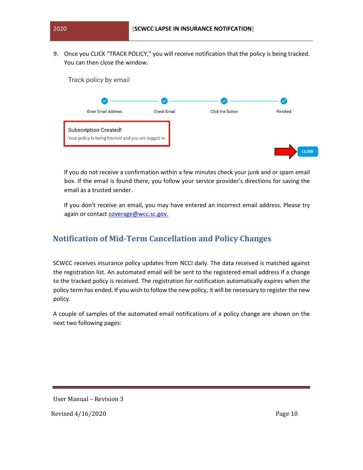9. Once you CLICK "TRACK POLICY," you will receive notification that the policy is being tracked. You can then close the window.



If you do not receive a confirmation within a few minutes check your junk and or spam email box. If the email is found there, you follow your service provider's directions for saving the email as a trusted sender.

If you don't receive an email, you may have entered an incorrect email address. Please try again or contact coverage@wcc.sc.gov.

## <span id="page-9-0"></span>**Notification of Mid-Term Cancellation and Policy Changes**

SCWCC receives insurance policy updates from NCCI daily. The data received is matched against the registration list. An automated email will be sent to the registered email address if a change to the tracked policy is received. The registration for notification automatically expires when the policy term has ended. If you wish to follow the new policy, it will be necessary to register the new policy.

A couple of samples of the automated email notifications of a policy change are shown on the next two following pages:

User Manual – Revision 3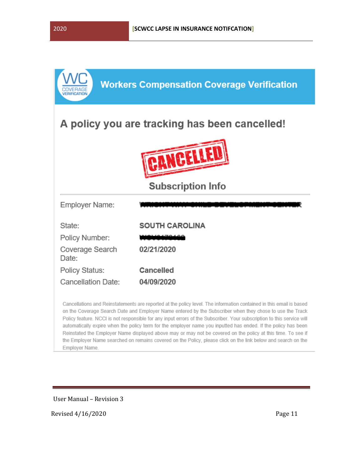|                                               | <b>Workers Compensation Coverage Verification</b> |  |
|-----------------------------------------------|---------------------------------------------------|--|
| A policy you are tracking has been cancelled! |                                                   |  |
|                                               |                                                   |  |
|                                               | <b>Subscription Info</b>                          |  |
|                                               |                                                   |  |
| Employer Name:                                |                                                   |  |
| State:                                        | <b>SOUTH CAROLINA</b>                             |  |
| Policy Number:                                |                                                   |  |
| Coverage Search<br>Date:                      | 02/21/2020                                        |  |
| Policy Status:                                | <b>Cancelled</b>                                  |  |

Cancellations and Reinstatements are reported at the policy level. The information contained in this email is based on the Coverage Search Date and Employer Name entered by the Subscriber when they chose to use the Track Policy feature. NCCI is not responsible for any input errors of the Subscriber. Your subscription to this service will automatically expire when the policy term for the employer name you inputted has ended. If the policy has been Reinstated the Employer Name displayed above may or may not be covered on the policy at this time. To see if the Employer Name searched on remains covered on the Policy, please click on the link below and search on the Employer Name.

User Manual – Revision 3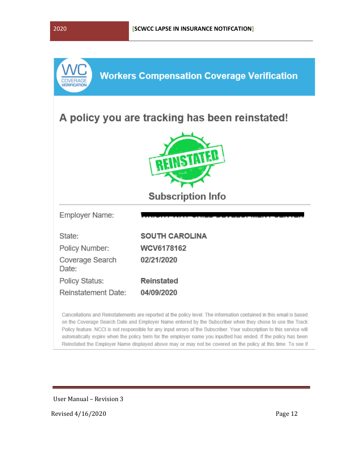

Cancellations and Reinstatements are reported at the policy level. The information contained in this email is based on the Coverage Search Date and Employer Name entered by the Subscriber when they chose to use the Track Policy feature. NCCI is not responsible for any input errors of the Subscriber. Your subscription to this service will automatically expire when the policy term for the employer name you inputted has ended. If the policy has been Reinstated the Employer Name displayed above may or may not be covered on the policy at this time. To see if

User Manual – Revision 3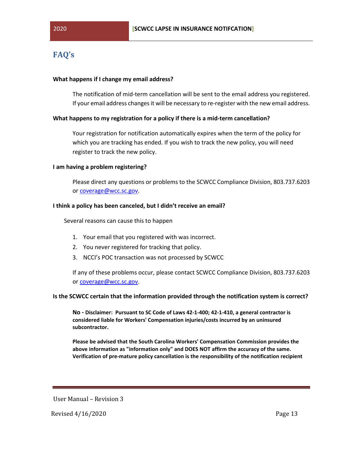## <span id="page-12-0"></span>**FAQ's**

#### **What happens if I change my email address?**

The notification of mid-term cancellation will be sent to the email address you registered. If your email address changes it will be necessary to re-register with the new email address.

#### **What happens to my registration for a policy if there is a mid-term cancellation?**

Your registration for notification automatically expires when the term of the policy for which you are tracking has ended. If you wish to track the new policy, you will need register to track the new policy.

#### **I am having a problem registering?**

Please direct any questions or problems to the SCWCC Compliance Division, 803.737.6203 or coverage@wcc.sc.gov.

#### **I think a policy has been canceled, but I didn't receive an email?**

Several reasons can cause this to happen

- 1. Your email that you registered with was incorrect.
- 2. You never registered for tracking that policy.
- 3. NCCI's POC transaction was not processed by SCWCC

If any of these problems occur, please contact SCWCC Compliance Division, 803.737.6203 or coverage@wcc.sc.gov.

#### **Is the SCWCC certain that the information provided through the notification system is correct?**

**No - Disclaimer: Pursuant to SC Code of Laws 42-1-400; 42-1-410, a general contractor is considered liable for Workers' Compensation injuries/costs incurred by an uninsured subcontractor.** 

**Please be advised that the South Carolina Workers' Compensation Commission provides the above information as "information only" and DOES NOT affirm the accuracy of the same. Verification of pre-mature policy cancellation is the responsibility of the notification recipient** 

User Manual – Revision 3